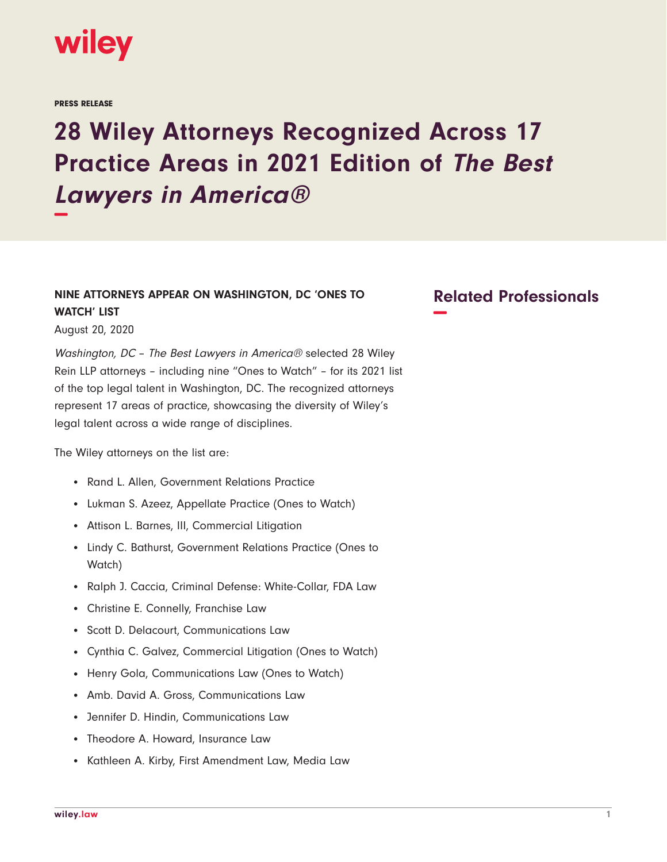

PRESS RELEASE

## **28 Wiley Attorneys Recognized Across 17 Practice Areas in 2021 Edition of The Best Lawyers in America® −**

## **NINE ATTORNEYS APPEAR ON WASHINGTON, DC 'ONES TO WATCH' LIST**

August 20, 2020

Washington, DC – The Best Lawyers in America® selected 28 Wiley Rein LLP attorneys – including nine "Ones to Watch" – for its 2021 list of the top legal talent in Washington, DC. The recognized attorneys represent 17 areas of practice, showcasing the diversity of Wiley's legal talent across a wide range of disciplines.

The Wiley attorneys on the list are:

- Rand L. Allen, Government Relations Practice
- Lukman S. Azeez, Appellate Practice (Ones to Watch)
- Attison L. Barnes, III, Commercial Litigation
- Lindy C. Bathurst, Government Relations Practice (Ones to Watch)
- Ralph J. Caccia, Criminal Defense: White-Collar, FDA Law
- Christine E. Connelly, Franchise Law
- Scott D. Delacourt, Communications Law
- Cynthia C. Galvez, Commercial Litigation (Ones to Watch)
- Henry Gola, Communications Law (Ones to Watch)
- Amb. David A. Gross, Communications Law
- Jennifer D. Hindin, Communications Law
- Theodore A. Howard, Insurance Law
- Kathleen A. Kirby, First Amendment Law, Media Law

## **Related Professionals −**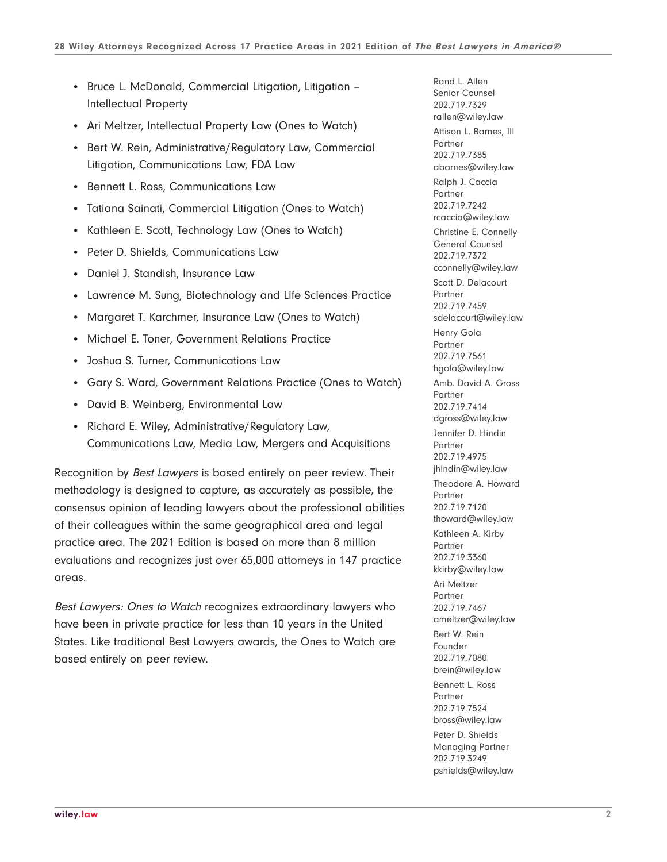- Bruce L. McDonald, Commercial Litigation, Litigation -Intellectual Property
- Ari Meltzer, Intellectual Property Law (Ones to Watch)
- Bert W. Rein, Administrative/Regulatory Law, Commercial Litigation, Communications Law, FDA Law
- Bennett L. Ross, Communications Law
- Tatiana Sainati, Commercial Litigation (Ones to Watch)
- Kathleen E. Scott, Technology Law (Ones to Watch)
- Peter D. Shields, Communications Law
- Daniel J. Standish, Insurance Law
- Lawrence M. Sung, Biotechnology and Life Sciences Practice
- Margaret T. Karchmer, Insurance Law (Ones to Watch)
- Michael E. Toner, Government Relations Practice
- Joshua S. Turner, Communications Law
- Gary S. Ward, Government Relations Practice (Ones to Watch)
- David B. Weinberg, Environmental Law
- Richard E. Wiley, Administrative/Regulatory Law, Communications Law, Media Law, Mergers and Acquisitions

Recognition by Best Lawyers is based entirely on peer review. Their methodology is designed to capture, as accurately as possible, the consensus opinion of leading lawyers about the professional abilities of their colleagues within the same geographical area and legal practice area. The 2021 Edition is based on more than 8 million evaluations and recognizes just over 65,000 attorneys in 147 practice areas.

Best Lawyers: Ones to Watch recognizes extraordinary lawyers who have been in private practice for less than 10 years in the United States. Like traditional Best Lawyers awards, the Ones to Watch are based entirely on peer review.

Rand L. Allen Senior Counsel 202.719.7329 rallen@wiley.law Attison L. Barnes, III Partner 202.719.7385 abarnes@wiley.law Ralph J. Caccia Partner 202.719.7242 rcaccia@wiley.law Christine E. Connelly General Counsel 202.719.7372 cconnelly@wiley.law Scott D. Delacourt Partner 202.719.7459 sdelacourt@wiley.law Henry Gola Partner 202.719.7561 hgola@wiley.law Amb. David A. Gross Partner 202.719.7414 dgross@wiley.law Jennifer D. Hindin Partner 202.719.4975 jhindin@wiley.law Theodore A. Howard Partner 202.719.7120 thoward@wiley.law Kathleen A. Kirby Partner 202.719.3360 kkirby@wiley.law Ari Meltzer Partner 202.719.7467 ameltzer@wiley.law Bert W. Rein Founder 202.719.7080 brein@wiley.law Bennett L. Ross Partner 202.719.7524 bross@wiley.law Peter D. Shields Managing Partner 202.719.3249 pshields@wiley.law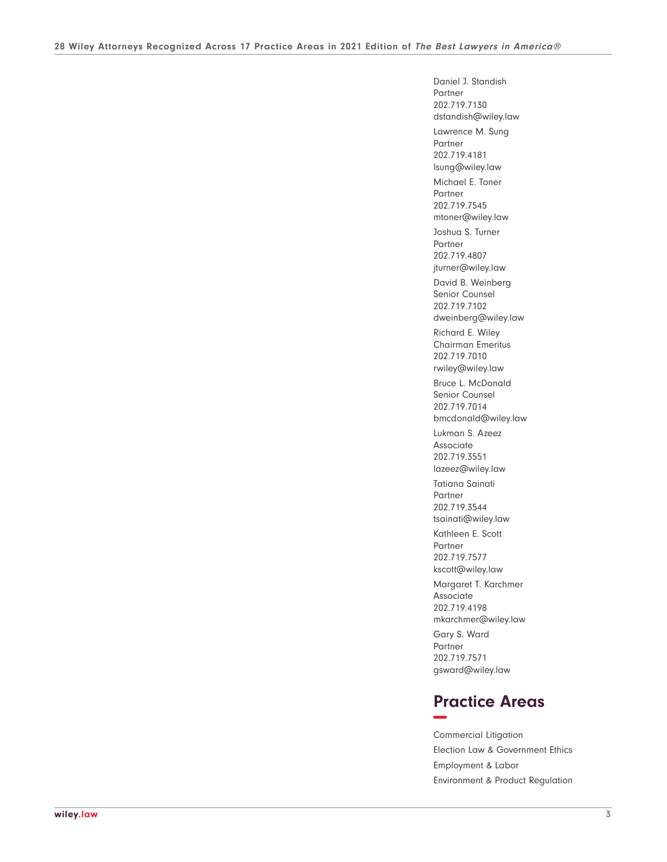Daniel J. Standish Partner 202.719.7130 dstandish@wiley.law Lawrence M. Sung Partner 202.719.4181 lsung@wiley.law Michael E. Toner Partner 202.719.7545 mtoner@wiley.law Joshua S. Turner Partner 202.719.4807 jturner@wiley.law David B. Weinberg Senior Counsel 202.719.7102 dweinberg@wiley.law Richard E. Wiley Chairman Emeritus 202.719.7010 rwiley@wiley.law Bruce L. McDonald Senior Counsel 202.719.7014 bmcdonald@wiley.law Lukman S. Azeez Associate 202.719.3551 lazeez@wiley.law Tatiana Sainati Partner 202.719.3544 tsainati@wiley.law Kathleen E. Scott Partner 202.719.7577 kscott@wiley.law Margaret T. Karchmer Associate 202.719.4198 mkarchmer@wiley.law Gary S. Ward Partner 202.719.7571 gsward@wiley.law

## **Practice Areas −**

Commercial Litigation Election Law & Government Ethics Employment & Labor Environment & Product Regulation